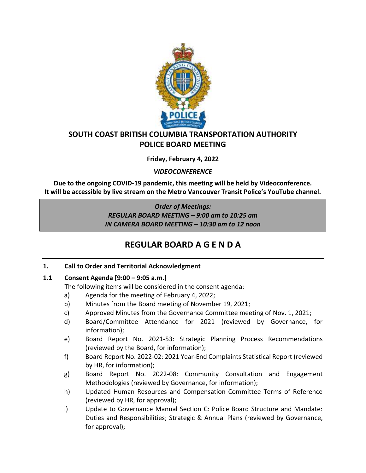

## **SOUTH COAST BRITISH COLUMBIA TRANSPORTATION AUTHORITY POLICE BOARD MEETING**

**Friday, February 4, 2022**

*VIDEOCONFERENCE*

**Due to the ongoing COVID-19 pandemic, this meeting will be held by Videoconference. It will be accessible by live stream on the Metro Vancouver Transit Police's YouTube channel.**

> *Order of Meetings: REGULAR BOARD MEETING – 9:00 am to 10:25 am IN CAMERA BOARD MEETING – 10:30 am to 12 noon*

# **REGULAR BOARD A G E N D A**

## **1. Call to Order and Territorial Acknowledgment**

#### **1.1 Consent Agenda [9:00 – 9:05 a.m.]**

The following items will be considered in the consent agenda:

- a) Agenda for the meeting of February 4, 2022;
- b) Minutes from the Board meeting of November 19, 2021;
- c) Approved Minutes from the Governance Committee meeting of Nov. 1, 2021;
- d) Board/Committee Attendance for 2021 (reviewed by Governance, for information);
- e) Board Report No. 2021-53: Strategic Planning Process Recommendations (reviewed by the Board, for information);
- f) Board Report No. 2022-02: 2021 Year-End Complaints Statistical Report (reviewed by HR, for information);
- g) Board Report No. 2022-08: Community Consultation and Engagement Methodologies (reviewed by Governance, for information);
- h) Updated Human Resources and Compensation Committee Terms of Reference (reviewed by HR, for approval);
- i) Update to Governance Manual Section C: Police Board Structure and Mandate: Duties and Responsibilities; Strategic & Annual Plans (reviewed by Governance, for approval);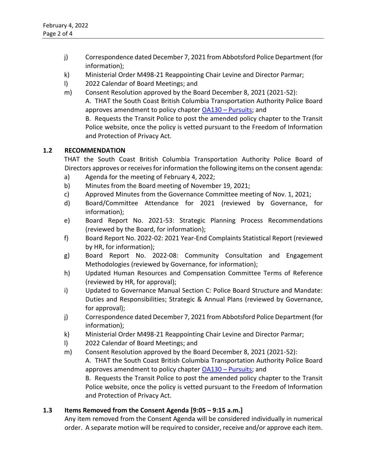- j) Correspondence dated December 7, 2021 from Abbotsford Police Department (for information);
- k) Ministerial Order M498-21 Reappointing Chair Levine and Director Parmar;
- l) 2022 Calendar of Board Meetings; and
- m) Consent Resolution approved by the Board December 8, 2021 (2021-52): A. THAT the South Coast British Columbia Transportation Authority Police Board approves amendment to policy chapter OA130 – [Pursuits;](https://transitpolice.ca/wp-content/uploads/2022/01/OA130-Pursuits-Policy-TP2021-12-08.secured.pdf) and B. Requests the Transit Police to post the amended policy chapter to the Transit

Police website, once the policy is vetted pursuant to the Freedom of Information and Protection of Privacy Act.

#### **1.2 RECOMMENDATION**

THAT the South Coast British Columbia Transportation Authority Police Board of Directors approves or receives for information the following items on the consent agenda:

- a) Agenda for the meeting of February 4, 2022;
- b) Minutes from the Board meeting of November 19, 2021;
- c) Approved Minutes from the Governance Committee meeting of Nov. 1, 2021;
- d) Board/Committee Attendance for 2021 (reviewed by Governance, for information);
- e) Board Report No. 2021-53: Strategic Planning Process Recommendations (reviewed by the Board, for information);
- f) Board Report No. 2022-02: 2021 Year-End Complaints Statistical Report (reviewed by HR, for information);
- g) Board Report No. 2022-08: Community Consultation and Engagement Methodologies (reviewed by Governance, for information);
- h) Updated Human Resources and Compensation Committee Terms of Reference (reviewed by HR, for approval);
- i) Updated to Governance Manual Section C: Police Board Structure and Mandate: Duties and Responsibilities; Strategic & Annual Plans (reviewed by Governance, for approval);
- j) Correspondence dated December 7, 2021 from Abbotsford Police Department (for information);
- k) Ministerial Order M498-21 Reappointing Chair Levine and Director Parmar;
- l) 2022 Calendar of Board Meetings; and
- m) Consent Resolution approved by the Board December 8, 2021 (2021-52): A. THAT the South Coast British Columbia Transportation Authority Police Board approves amendment to policy chapter OA130 – [Pursuits;](https://transitpolice.ca/wp-content/uploads/2022/01/OA130-Pursuits-Policy-TP2021-12-08.secured.pdf) and B. Requests the Transit Police to post the amended policy chapter to the Transit

Police website, once the policy is vetted pursuant to the Freedom of Information and Protection of Privacy Act.

## **1.3 Items Removed from the Consent Agenda [9:05 – 9:15 a.m.]**

Any item removed from the Consent Agenda will be considered individually in numerical order. A separate motion will be required to consider, receive and/or approve each item.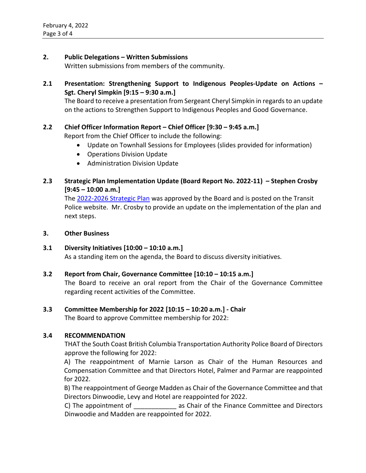### **2. Public Delegations – Written Submissions**

Written submissions from members of the community.

**2.1 Presentation: Strengthening Support to Indigenous Peoples-Update on Actions – Sgt. Cheryl Simpkin [9:15 – 9:30 a.m.]**

The Board to receive a presentation from Sergeant Cheryl Simpkin in regards to an update on the actions to Strengthen Support to Indigenous Peoples and Good Governance.

#### **2.2 Chief Officer Information Report – Chief Officer [9:30 – 9:45 a.m.]**

Report from the Chief Officer to include the following:

- Update on Townhall Sessions for Employees (slides provided for information)
- Operations Division Update
- Administration Division Update

## **2.3 Strategic Plan Implementation Update (Board Report No. 2022-11) – Stephen Crosby [9:45 – 10:00 a.m.]**

The [2022-2026 Strategic Plan](https://transitpolice.ca/wp-content/uploads/2022/01/Transit-Police-Strategic-Plan-20211208-v10-FINAL-web-spreads.pdf) was approved by the Board and is posted on the Transit Police website. Mr. Crosby to provide an update on the implementation of the plan and next steps.

#### **3. Other Business**

#### **3.1 Diversity Initiatives [10:00 – 10:10 a.m.]** As a standing item on the agenda, the Board to discuss diversity initiatives.

#### **3.2 Report from Chair, Governance Committee [10:10 – 10:15 a.m.]**

The Board to receive an oral report from the Chair of the Governance Committee regarding recent activities of the Committee.

#### **3.3 Committee Membership for 2022 [10:15 – 10:20 a.m.] - Chair**

The Board to approve Committee membership for 2022:

#### **3.4 RECOMMENDATION**

THAT the South Coast British Columbia Transportation Authority Police Board of Directors approve the following for 2022:

A) The reappointment of Marnie Larson as Chair of the Human Resources and Compensation Committee and that Directors Hotel, Palmer and Parmar are reappointed for 2022.

B) The reappointment of George Madden as Chair of the Governance Committee and that Directors Dinwoodie, Levy and Hotel are reappointed for 2022.

C) The appointment of \_\_\_\_\_\_\_\_\_\_\_\_\_ as Chair of the Finance Committee and Directors Dinwoodie and Madden are reappointed for 2022.